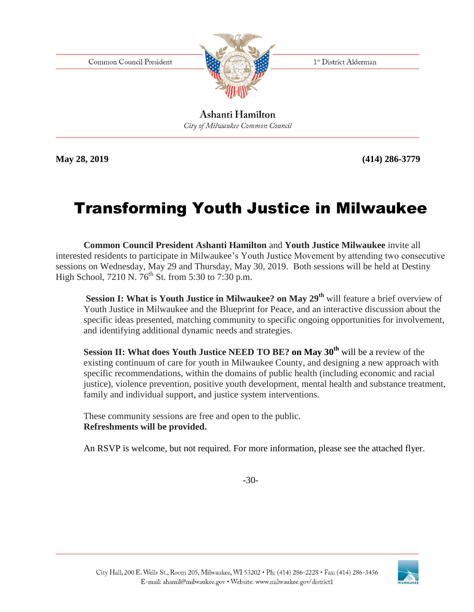Common Council President



1st District Alderman

Ashanti Hamilton City of Milwaukee Common Council

**May 28, 2019 (414) 286-3779**

### Transforming Youth Justice in Milwaukee

**Common Council President Ashanti Hamilton** and **Youth Justice Milwaukee** invite all interested residents to participate in Milwaukee's Youth Justice Movement by attending two consecutive sessions on Wednesday, May 29 and Thursday, May 30, 2019. Both sessions will be held at Destiny High School, 7210 N.  $76^{th}$  St. from 5:30 to 7:30 p.m.

**Session I: What is Youth Justice in Milwaukee? on May 29th** will feature a brief overview of Youth Justice in Milwaukee and the Blueprint for Peace, and an interactive discussion about the specific ideas presented, matching community to specific ongoing opportunities for involvement, and identifying additional dynamic needs and strategies.

**Session II: What does Youth Justice NEED TO BE? on May 30th** will be a review of the existing continuum of care for youth in Milwaukee County, and designing a new approach with specific recommendations, within the domains of public health (including economic and racial justice), violence prevention, positive youth development, mental health and substance treatment, family and individual support, and justice system interventions.

These community sessions are free and open to the public. **Refreshments will be provided.**

An RSVP is welcome, but not required. For more information, please see the attached flyer.

-30-